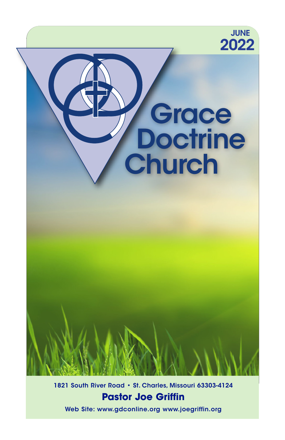

1821 South River Road • St. Charles, Missouri 63303-4124 **Pastor Joe Griffin**

Web Site: www.gdconline.org www.joegriffin.org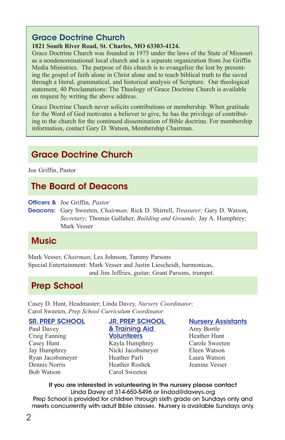### Grace Doctrine Church

### **1821 South River Road, St. Charles, MO 63303-4124.**

Grace Doctrine Church was founded in 1975 under the laws of the State of Missouri as a nondenominational local church and is a separate organization from Joe Griffin Media Ministries. The purpose of this church is to evangelize the lost by presenting the gospel of faith alone in Christ alone and to teach biblical truth to the saved through a literal, grammatical, and historical analysis of Scripture. Our theological statement, 40 Proclamations: The Theology of Grace Doctrine Church is available on request by writing the above address.

Grace Doctrine Church never solicits contributions or membership. When gratitude for the Word of God motivates a believer to give, he has the privilege of contributing to the church for the continued dissemination of Bible doctrine. For membership information, contact Gary D. Watson, Membership Chairman.

# **Grace Doctrine Church**

Joe Griffin, Pastor

# The Board of Deacons

Officers & Joe Griffin, *Pastor* 

Deacons: Gary Sweeten, *Chairman;* Rick D. Shirrell, *Treasurer;* Gary D. Watson, *Secretary;* Thomas Gallaher, *Building and Grounds;* Jay A. Humphrey; Mark Vesser

# **Music**

Mark Vesser, *Chairman*; Les Johnson, Tammy Parsons Special Entertainment: Mark Vesser and Justin Liescheidt, harmonicas, and Jim Jeffries, guitar; Grant Parsons, trumpet.

# Prep School

Casey D. Hunt, Headmaster; Linda Davey, *Nursery Coordinator;* Carol Sweeten, *Prep School Curriculum Coordinator*

SR. PREP SCHOOL

Paul Davey Craig Fanning Casey Hunt Jay Humphrey Ryan Jacobsmeyer Dennis Norris Bob Watson

### JR. PREP SCHOOL & Training Aid **Volunteers** Kayla Humphrey

Nicki Jacobsmeyer Heather Parli Heather Roshek Carol Sweeten

### Nursery Assistants

Amy Bortle Heather Hunt Carole Sweeten Eleen Watson Laura Watson Jeanine Vesser

If you are interested in volunteering in the nursery please contact Linda Davey at 314-650-5496 or lindad@daveys.org Prep School is provided for children through sixth grade on Sundays only and meets concurrently with adult Bible classes. Nursery is available Sundays only.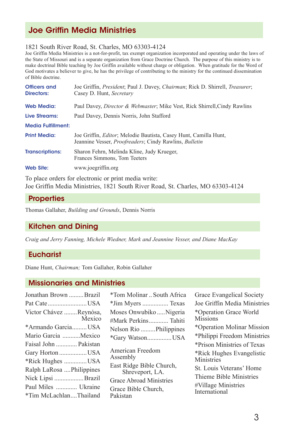# Joe Griffin Media Ministries

#### 1821 South River Road, St. Charles, MO 63303-4124

Joe Griffin Media Ministries is a not-for-profit, tax exempt organization incorporated and operating under the laws of the State of Missouri and is a separate organization from Grace Doctrine Church. The purpose of this ministry is to make doctrinal Bible teaching by Joe Griffin available without charge or obligation. When gratitude for the Word of God motivates a believer to give, he has the privilege of contributing to the ministry for the continued dissemination of Bible doctrine.

| Officers and<br><b>Directors:</b> | Joe Griffin, <i>President</i> ; Paul J. Davey, <i>Chairman</i> ; Rick D. Shirrell, <i>Treasurer</i> ;<br>Casey D. Hunt, Secretary                 |
|-----------------------------------|---------------------------------------------------------------------------------------------------------------------------------------------------|
| <b>Web Media:</b>                 | Paul Davey, <i>Director &amp; Webmaster</i> ; Mike Vest, Rick Shirrell, Cindy Rawlins                                                             |
| Live Streams:                     | Paul Davey, Dennis Norris, John Stafford                                                                                                          |
| <b>Media Fulfillment:</b>         |                                                                                                                                                   |
| <b>Print Media:</b>               | Joe Griffin, <i>Editor</i> ; Melodie Bautista, Casey Hunt, Camilla Hunt,<br>Jeannine Vesser, <i>Proofreaders</i> ; Cindy Rawlins, <i>Bulletin</i> |
| <b>Transcriptions:</b>            | Sharon Fehrn, Melinda Kline, Judy Krueger,<br>Frances Simmons, Tom Teeters                                                                        |
| Web Site:                         | www.joegriffin.org                                                                                                                                |
|                                   |                                                                                                                                                   |

To place orders for electronic or print media write: Joe Griffin Media Ministries, 1821 South River Road, St. Charles, MO 63303-4124

### **Properties**

Thomas Gallaher, *Building and Grounds*, Dennis Norris

### Kitchen and Dining

*Craig and Jerry Fanning, Michele Wiedner, Mark and Jeannine Vesser, and Diane MacKay*

### **Eucharist**

Diane Hunt, *Chairman;* Tom Gallaher, Robin Gallaher

#### Missionaries and Ministries

| Jonathan Brown Brazil    |        |
|--------------------------|--------|
| Pat CateUSA              |        |
| Victor Chávez Reynósa,   | Mexico |
| *Armando GarciaUSA       |        |
| Mario Garcia Mexico      |        |
| Faisal John  Pakistan    |        |
| Gary Horton USA          |        |
| *Rick Hughes USA         |        |
| Ralph LaRosa Philippines |        |
| Nick Lipsi Brazil        |        |
| Paul Miles  Ukraine      |        |
| *Tim McLachlanThailand   |        |

| *Tom Molinar  South Africa                                                                                                                       |
|--------------------------------------------------------------------------------------------------------------------------------------------------|
| *Jim Myers  Texas                                                                                                                                |
| Moses Onwubiko  Nigeria                                                                                                                          |
| #Mark Perkins Tahiti                                                                                                                             |
| Nelson Rio  Philippines                                                                                                                          |
| *Gary WatsonUSA                                                                                                                                  |
| American Freedom<br>Assembly<br>East Ridge Bible Church,<br>Shreveport, LA.<br><b>Grace Abroad Ministries</b><br>Grace Bible Church,<br>Pakistan |
|                                                                                                                                                  |

| Grace Evangelical Society               |
|-----------------------------------------|
| Joe Griffin Media Ministries            |
| *Operation Grace World<br>Missions      |
| *Operation Molinar Mission              |
| *Philippi Freedom Ministries            |
| *Prison Ministries of Texas             |
| *Rick Hughes Evangelistic<br>Ministries |
| St. Louis Veterans' Home                |
| Thieme Bible Ministries                 |
| #Village Ministries<br>International    |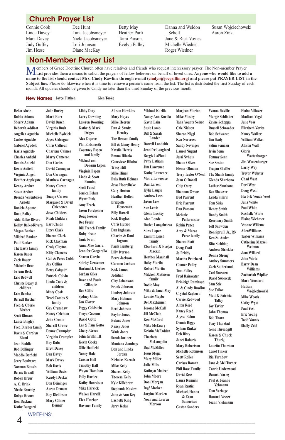## Church Prayer List

Connie Cobb Linda Davey Mark Davey Judy Guffey Jim Hesse

Dee Hunt Lana Jacobsmeyer Nicki Jacobsmeyer Lori Johnson Diane MacKay

Betty May Heather Parli Tami Parsons Evelyn Pulley

Danna and Weldon Schott Jane & Rick Voyles Michelle Wiedner Roger Wiedner

Susan Wojciechowski Aaron Zink

#### Non-Member Prayer List

**Members of Grace Doctrine Church often have relatives and friends who request intercessory prayer. The Non-member Prayer** List provides them a means to solicit the prayers of fellow believers on behalf of loved ones. **Anyone who would like to add a name to the list should contact Mrs. Cindy Rawlins through e-mail** (**cindyr@joegriffin.org**) **and please put PRAYER LIST in the**  Subject line. Please do likewise when it is time to remove a person's name from the list. The list is distributed the first Sunday of each month. All updates should be given to Cindy no later than the third Sunday of the previous month.

New Names **Joyce Flatken Glen Tooke**

| <b>Helen Abele</b>         | <b>Julie Burley</b>     | <b>Libby Doty</b>         | <b>Allison Hawkins</b>        | Michael Kurilla          | Marjean Morton            | <b>Yvonne Saville</b>              | <b>Elaine Villaver</b>  |
|----------------------------|-------------------------|---------------------------|-------------------------------|--------------------------|---------------------------|------------------------------------|-------------------------|
| <b>Bubba Adams</b>         | Mark Burr               | <b>Larry Downing</b>      | Mary Hayes                    | Nancy Ann Kurilla        | <b>Mike Mosley</b>        | Margie Schlinker                   | <b>Madison Vogel</b>    |
| <b>Sherry Adams</b>        | <b>David Busch</b>      | <b>Lawren Downing</b>     | Mike Heeren                   | Gavin Lain               | <b>Tana Younts Nelson</b> | <b>Zayne Schoppa</b>               | <b>Julie Voss</b>       |
| Deborah Addicot            | Virginia Bush           | Kathy & Mark              | Dan & Sandy                   | <b>Susie Lamb</b>        | <b>Cale Nielson</b>       | <b>Russell Schroeder</b>           | <b>Elizabeth Voyles</b> |
| Angelica Agudelo           | <b>Michelle Bydelek</b> | <b>Driges</b>             | <b>Hensley</b>                | Bill & Sarah             | <b>Sharon Niggl</b>       | <b>Bob Schwarze</b>                | <b>Nancy Walker</b>     |
| Carlos Agudelo             | <b>Joyce Calcagno</b>   | <b>Alex Dupree</b>        | The Henson family             | Lander                   | <b>Ken Norcross</b>       | Jim Sealv                          | William Walker          |
| <b>Gabriel Agudelo</b>     | <b>Chris Calhoun</b>    | <b>Phil Endsworth</b>     | <b>Bill &amp; Ginny Henry</b> | <b>Darrell Landolth</b>  | <b>Sandy Novinger</b>     | Salim Semaan                       | <b>Allison Wall</b>     |
| Karla Agudelo              | <b>Charlene Calmes</b>  | <b>Courtney Espen</b>     | Natalia Hervis                | <b>Jennifer Langford</b> | <b>Laurel Nugent</b>      | <b>Irvin Senn</b>                  | Gloria                  |
| <b>Charles Anfield</b>     | <b>Marty Cameron</b>    | and family                | Emma Hilario                  | <b>Reggie LaPlant</b>    | Jessi Nyhuis              | <b>Tommy Senn</b>                  | Wattenbarger            |
| <b>Dennis Anfield</b>      | <b>Don Carlos</b>       | Michael and               | Genevieve Hilairo             | Patty Latham             | <b>Shaun Oliver</b>       | <b>Sue Sexton</b>                  | <b>Jim Wattenbarger</b> |
| Kevin Anfield              | David Carnagua          | DeeAnn Espen              | <b>Tracy Hill</b>             | <b>Jim Lawrence</b>      | <b>Elenor Olmann</b>      | <b>Teagan Shaffer</b>              | <b>Larry Way</b>        |
| Virginia Angell            | Don Carnagua            | Virginia Espen            | <b>Mike Hines</b>             | <b>Kathy Lawrence</b>    | Terry Taylor O'Neal       | The Shank family                   | <b>Trevor Webster</b>   |
| <b>Heather Applegate</b>   | <b>Matthew Carnagua</b> | Linda & Scott<br>Fanning  | <b>Eula Ruth Holmes</b>       | <b>Moira Lawrence</b>    | Joan O'Donall             | Glenda Sharbono                    | <b>Chad West</b>        |
| Kenny Archer               | <b>Nancy Carnes</b>     | <b>Scott Faust</b>        | <b>Jesse Hoorelbeke</b>       | Dan Larsen               | <b>Chip Oury</b>          | <b>Luther Sharbono</b>             | <b>Dori West</b>        |
| Susan Archer               | family                  | <b>Jessica Fehrn</b>      | <b>Gary Horton</b>            | <b>Kylie Laugle</b>      | <b>Shannon Owens</b>      | <b>Ben Shawver</b>                 | <b>Doug West</b>        |
| <b>Brenda Wisenbaker</b>   | Tuanja Carson           |                           | <b>Heather Holton</b>         | <b>Andrew Lees</b>       | <b>Bud Parrent</b>        | Lynda Simril                       | Herb & Vonda West       |
| Arnold                     | Margaret & David        | <b>Wyatt Fink</b>         | <b>Bridgette</b>              | <b>Jason Lees</b>        | <b>Eric Parrent</b>       | <b>Tom Siria</b>                   | <b>Julia White</b>      |
| Daniela Aponte             | <b>Chichester</b>       | <b>Amy Freels</b>         | Houseman                      | <b>Sue Lewis</b>         | <b>Dan Parsons</b>        | <b>Henry Smith</b>                 | <b>Paul White</b>       |
| <b>Doug Bailey</b>         | <b>Jesse Childers</b>   | <b>Jason Forcheiner</b>   | <b>Billy Howell</b>           | <b>Glenn Lockey</b>      | Melanie                   | <b>Randy Smith</b>                 | <b>Rochelle White</b>   |
| Aida Balke-Rivera          | <b>Noah Childers</b>    | Doug Fowler               | <b>Rick Hughes</b>            | <b>Alan Londe</b>        | Patternoster              | <b>Rosemary Smith</b>              | <b>Elaine Wichmer</b>   |
| <b>Kelley Balke-Rivera</b> | <b>Earl Childs</b>      | Dee Freels                | Chris Hutson                  | Raelee Longobricco       | <b>Robin Pence</b>        | <b>Jeff Snowden</b>                | <b>Yvonne Willems</b>   |
| Megan Banker               | <b>Lizzy Clark</b>      | <b>Bill French Family</b> | Dan Inghram                   | <b>Steve Lopez</b>       | Amy & Marco               | Ron Spruill Jr., RN                | <b>AllenWilliams</b>    |
| <b>Mildred Banker</b>      | <b>Sharon Clark</b>     | <b>Ruby Frette</b>        | Charles & Doni                | <b>Emmitt Lynch</b>      | Perez family              | Ken St. Andre                      | <b>Taylor Williams</b>  |
| Patti Banker               | <b>Rick Clayman</b>     | <b>Janie Fruit</b>        | Ingram                        | family                   | <b>Sharon Platt</b>       | <b>Rita Stebbing</b>               | <b>Catherine Mazzei</b> |
| The Basta family           | <b>Craig Clayton</b>    | Anna Mae Garra            | Paula Isenberg                | Eberhard & Evelyn        | <b>Doug Pratt</b>         | <b>Andrew Strickler</b>            | Weiman                  |
| <b>Karen Bauer</b>         | <b>Kitty Clemens</b>    | Jennifer Gargarello       | <b>Lilly Iverson</b>          | Mackin                   | Jo Priddy                 | Donna Strong                       | <b>Jean Willard</b>     |
| Zack Bauer                 | Gail & Pecos Coble      | <b>Sharon Garcia</b>      | Berra Jackson                 | <b>Heather Marshall</b>  | <b>Martha Pritchard</b>   | <b>Audrey Summers</b>              | <b>John Wirtz</b>       |
| <b>Michelle Bear</b>       | <b>Jay Collins</b>      | <b>Shirley Gensemer</b>   | Carmen Jackson                | <b>Daisy Martin</b>      | <b>Conner Pulley</b>      | <b>Zach Sutherland</b>             | <b>Barry Dean</b>       |
| Jo Ann Beck                | <b>Betsy Colquitt</b>   | Harland J. Gerber         | <b>Rick James</b>             | <b>Robert Martin</b>     | <b>Tom Pulley</b>         | <b>Carl Sweeten</b>                | Williams                |
| <b>Eric Bedwell</b>        | Patricia Colvin         | <b>Jordan Giles</b>       | Jedidiah                      | <b>Mitchell Mathisen</b> | <b>Fred Rainwater</b>     |                                    | Zachariah Wipfler       |
| Christy Beary &            | Linda Cook &            | Dave and Paula            | <b>Clay Johansson</b>         | family                   | <b>Brinleigh Rambaud</b>  | <b>David Swiercek</b>              | <b>Mark Woodard</b>     |
| children                   | children                | Gillespie                 | Frank Johnson                 | <b>Dodie May</b>         | Al & Cindy Rawlins        | Sam Stix                           | Hudson                  |
| Eric Belcher               | <b>Misty Cook</b>       | <b>Ben Gillis</b>         | <b>Lindsey Johnson</b>        | Mike & Janet May         | Crystal Rayburn           | <b>Sue Tailor</b>                  | Wojciechowski           |
| <b>Bernell Bircher</b>     | Traci Combs &           | <b>Sydney Gillis</b>      | Mary Holman                   | <b>Lonnie Maybe</b>      | <b>Carrie Redwood</b>     | Matt & Patricia                    | <b>Mike Woods</b>       |
| Fred & Cherie              | family                  | <b>Jon Glover</b>         | Johnson                       | <b>Del Maxheimer</b>     | <b>Alton Reed</b>         | <b>Talley</b><br><b>Joy Taylor</b> | <b>Cathy Wyat</b>       |
| <b>Bircher</b>             | <b>Gay Crenshaw</b>     | <b>Peggy Goldstein</b>    | <b>Reed Johnson</b>           | <b>Jerome McCall</b>     | <b>Nancy Reed</b>         |                                    | <b>Paul Yost</b>        |
| <b>Scott Bimson</b>        | <b>Nancy Crichton</b>   | <b>Tonya Gossum</b>       | <b>Baylor Jones</b>           | <b>Jill McClain</b>      | Alyssa Rehm               | <b>John Thomas</b>                 | <b>Eric Young</b>       |
| <b>Lance Bingley</b>       | <b>John Cronin</b>      | <b>David Gotto</b>        | <b>Eulane Jones</b>           | Ken McCord               | <b>Dennis Riggs</b>       | <b>Bob Thorn</b>                   | <b>Todd Younts</b>      |
| <b>Fred Bircher family</b> | <b>Sherrill Crowe</b>   | Les & Pam Gotto           | <b>Nancy Jones</b>            | <b>Mike McEnery</b>      | Sylvan Rinker             | <b>Tony Thorstad</b>               | <b>Shelly Zeid</b>      |
| Davis & Carolyn            | <b>Denny Crumpler</b>   | <b>Cheryl Green</b>       | <b>Wade Jones</b>             | <b>Kristin McFadden</b>  | <b>Deb Risty</b>          | <b>Gene Threadgill</b>             |                         |
| <b>Bland</b>               | Virginia Crumpler       | John Griffin III          | Sarah Jortner                 | <b>Charlotte</b>         |                           | Karen & Chuck                      |                         |
| <b>Jean Boddie</b>         | <b>Ray Dain</b>         | <b>Kevin Goeke</b>        | <b>Montana Jennings</b>       | McLaughlin               | <b>Janet Roberts</b>      | Thurig                             |                         |
| <b>Bob Bollinger</b>       | <b>Brett Davey</b>      | <b>Ollie Hadfield</b>     | Don and Linda                 | <b>Bud McMillen</b>      | <b>Mary Robertson</b>     | <b>Louetta Thurston</b>            |                         |
| <b>Maddie Botfield</b>     | Dan Davey               | <b>Nancy Hale</b>         | Jordan                        | Jesus Mejia              | <b>Michelle Robinson</b>  | <b>Carol Tinker</b>                |                         |
| <b>Jerry Boulware</b>      | <b>Mark Davey</b>       | <b>Carson Hall</b>        | Nicholas Karach               | <b>Mary Miller</b>       | <b>Scott Roller</b>       | <b>Ria Turnbow</b>                 |                         |
| <b>Norman Bowels</b>       | <b>Bob Davis</b>        | <b>Timothy Hall</b>       | Mike Kelly                    | <b>Julie Mills</b>       | Carissa Roman             | Jane & Mel Turner                  |                         |
| <b>Bernie Brazill</b>      | <b>William Davis</b>    | <b>Wayne Hamilton</b>     | Sharon Kelly                  | Kathryn Modeer           | <b>Phil Rose Family</b>   | <b>Carrie Underwood</b>            |                         |
| Robyn Breur                | <b>Kendyl Decker</b>    | <b>Polly Hardee</b>       | Theresa Kelly                 | <b>John Moore</b>        | <b>David Ross</b>         | <b>Darnell Varley</b>              |                         |
|                            |                         |                           |                               |                          |                           |                                    |                         |

\_\_\_\_\_\_\_\_\_\_\_\_\_\_\_\_\_\_\_\_\_\_\_\_\_\_\_\_\_\_\_\_\_\_\_\_\_\_\_\_\_\_\_\_\_\_\_\_\_\_\_\_\_\_\_\_\_\_\_\_\_\_\_\_\_\_\_\_\_\_\_\_\_\_\_\_\_\_\_\_\_\_\_\_\_\_\_\_\_\_\_\_\_\_\_\_\_\_\_\_\_\_\_\_\_\_\_\_\_\_\_\_\_\_\_\_\_\_\_\_\_\_\_\_\_\_

**Doni Morgan Ingé Morken Jørgine Morken Noah and Lauren Morrow**

**Laura Runnels Ryan Rustici Michael, Hanna & Evan Samuelson Gaston Sanders** **Paul & Joanne Vehmann Tom Verhage Howard Vesser Joann Viehmann**

**Kyle Killebrew Stephanie Koslow John & Ann Key Lachelle King Jerry Kolar**

WRITE-INS: **Kathy Burgard Donner**

**Don Deininger Aaron Dement Roy Dickinson Mary Gilmer** 

**Kathy Harralson Mike Harvick Walker Harvill Elva Hatcher Havener Family**

**A. C. Brink Nicole Bruenig Robyn Breuer Ken Buckner**

4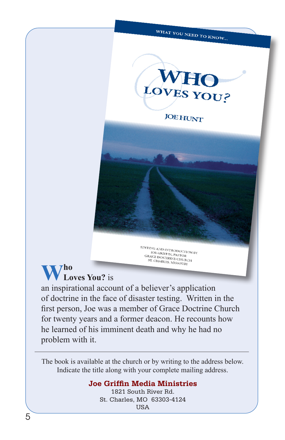# WHAT YOU NEED TO KNOW...



**JOE HUNT** 

# $\sqrt{7}$ ho **Loves You?** is

an inspirational account of a believer's application of doctrine in the face of disaster testing. Written in the first person, Joe was a member of Grace Doctrine Church for twenty years and a former deacon. He recounts how he learned of his imminent death and why he had no problem with it.

EDITING AND INTRODUCTION BY **TOE GRIFFIN, PASTOR**<br>JOE GRIFFIN, PASTOR<br>ACE DOCTR **GRACE DOCTRINE CHURCH<br>ST. CHARLES ME CHURCH** ST. CHARLES, MISSOURI

The book is available at the church or by writing to the address below. Indicate the title along with your complete mailing address.

### **Joe Griffin Media Ministries**

1821 South River Rd. St. Charles, MO 63303-4124 **TISA**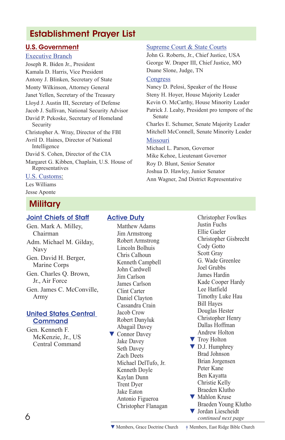# Establishment Prayer List

### U.S. Government

#### Executive Branch

Joseph R. Biden Jr., President Kamala D. Harris, Vice President Antony J. Blinken, Secretary of State Monty Wilkinson, Attorney General Janet Yellen, Secretary of the Treasury Lloyd J. Austin III, Secretary of Defense Jacob J. Sullivan, National Security Advisor David P. Pekoske, Secretary of Homeland Security Christopher A. Wray, Director of the FBI Avril D. Haines, Director of National Intelligence David S. Cohen, Director of the CIA Margaret G. Kibben, Chaplain, U.S. House of Representatives

#### U.S. Customs:

Les Williams Jesse Aponte

# Military

### Joint Chiefs of Staff

Gen. Mark A. Milley, Chairman Adm. Michael M. Gilday, Navy Gen. David H. Berger, Marine Corps Gen. Charles Q. Brown, Jr., Air Force Gen. James C. McConville, Army

### United States Central **Command**

Gen. Kenneth F. McKenzie, Jr., US Central Command

### **Active Duty**

 Matthew Adams Jim Armstrong Robert Armstrong Lincoln Bolhuis Chris Calhoun Kenneth Campbell John Cardwell Jim Carlson James Carlson Clint Carter Daniel Clayton Cassandra Crain Jacob Crow Robert Danyluk Abagail Davey ▼ Connor Davey Jake Davey Seth Davey Zach Deets Michael DelTufo, Jr. Kenneth Doyle Kaylan Dunn Trent Dyer Jake Eaton Antonio Figueroa Christopher Flanagan

#### Supreme Court & State Courts

John G. Roberts, Jr., Chief Justice, USA George W. Draper III, Chief Justice, MO Duane Slone, Judge, TN

#### **Congress**

Nancy D. Pelosi, Speaker of the House Steny H. Hoyer, House Majority Leader Kevin O. McCarthy, House Minority Leader Patrick J. Leahy, President pro tempore of the Senate Charles E. Schumer, Senate Majority Leader Mitchell McConnell, Senate Minority Leader Missouri Michael L. Parson, Governor

Mike Kehoe, Lieutenant Governor Roy D. Blunt, Senior Senator Joshua D. Hawley, Junior Senator Ann Wagner, 2nd District Representative

> Christopher Fowlkes Justin Fuchs Ellie Gaeler Christopher Gisbrecht Cody Gotto Scott Gray G. Wade Greenlee Joel Grubbs James Hardin Kade Cooper Hardy Lee Hatfield Timothy Luke Hau Bill Hayes Douglas Hester Christopher Henry Dallas Hoffman Andrew Holton ▼ Troy Holton

- ▼ D.J. Humphrey Brad Johnson Brian Jorgensen Peter Kane Ben Kayatta Christie Kelly Braeden Klutho
- ▼ Mahlon Kruse Braeden Young Klutho ▼ Jordan Liescheidt <sup>6</sup> *continued next page*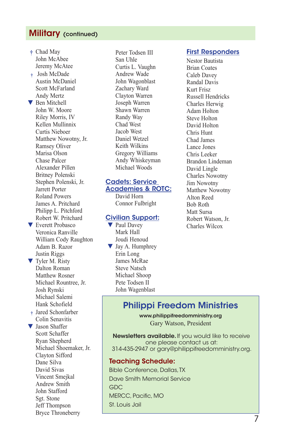### Military (continued)

**†** Chad May John McAbee Jeremy McAtee **†** Josh McDade Austin McDaniel Scott McFarland Andy Mertz ▼ Ben Mitchell John W. Moore Riley Morris, IV Kellen Mullinnix Curtis Nieboer Matthew Nowotny, Jr. Ramsey Oliver Marisa Olson Chase Palcer Alexander Pillen Britney Polenski Stephen Polenski, Jr. Jarrett Porter Roland Powers James A. Pritchard Philipp L. Pitchford Robert W. Pritchard ▼ Everett Probasco

- Veronica Ranville William Cody Raughton Adam B. Razor Justin Riggs ▼ Tyler M. Risty
- Dalton Roman Matthew Rosner Michael Rountree, Jr. Josh Rynski Michael Salemi Hank Schofield
- **†** Jared Schonfarber Colin Senavitis

▼ Jason Shaffer Scott Schaffer Ryan Shepherd Michael Shoemaker, Jr. Clayton Sifford Dane Silva David Sivas Vincent Smejkal Andrew Smith John Stafford Sgt. Stone Jeff Thompson Bryce Throneberry

 Peter Todsen III San Uhle Curtis L. Vaughn Andrew Wade John Wagonblast Zachary Ward Clayton Warren Joseph Warren Shawn Warren Randy Way Chad West Jacob West Daniel Wetzel Keith Wilkins Gregory Williams Andy Whiskeyman Michael Woods

### Cadets: Service

Academies & ROTC: David Horn Connor Fulbright

#### Civilian Support:

▼ Paul Davey Mark Hall Joudi Henoud ▼ Jay A. Humphrey Erin Long James McRae Steve Natsch Michael Shoop Pete Todsen II John Wagenblast

#### First Responders

Nestor Bautista Brian Coates Caleb Davey Randal Davis Kurt Frisz Russell Hendricks Charles Herwig Adam Holton Steve Holton David Holton Chris Hunt Chad James Lance Jones Chris Leeker Brandon Lindeman David Lingle Charles Nowotny Jim Nowotny Matthew Nowotny Alton Reed Bob Roth Matt Sursa Robert Watson, Jr. Charles Wilcox

# Philippi Freedom Ministries

www.philippifreedomministry.org Gary Watson, President

Newsletters available. If you would like to receive one please contact us at: 314-435-2947 or gary@philippifreedomministry.org.

### Teaching Schedule:

Bible Conference, Dallas, TX Dave Smith Memorial Service GDC MERCC, Pacific, MO St. Louis Jail

7